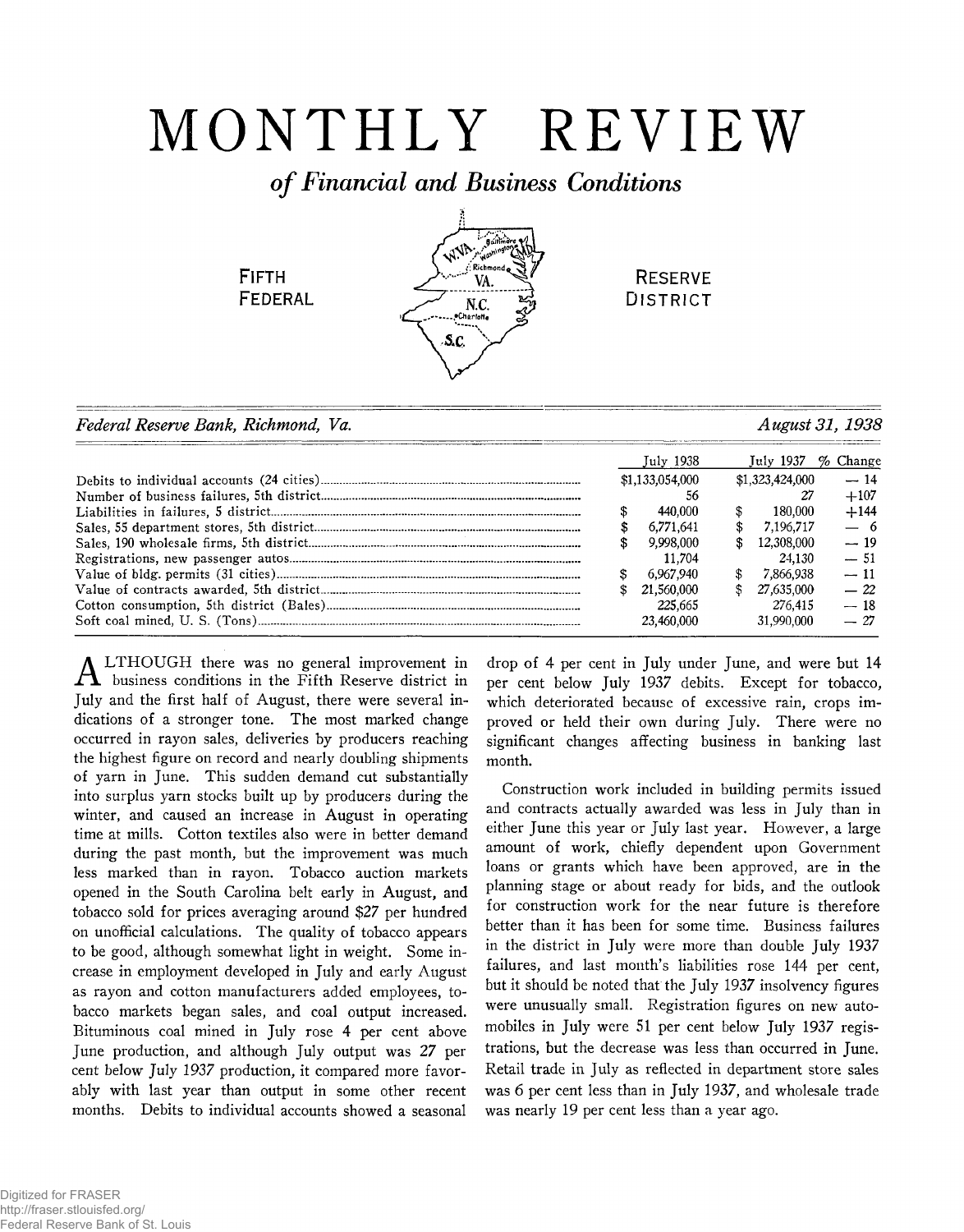# MONTHLY REVIEW

# *of Financial and Business Conditions*

.<br>Gairlíne

VA  $N.C.$ .<br>Charlotte S.C.

**FIFTH** 

**FEDERAL** 

**RESERVE DISTRICT** 

| Federal Reserve Bank, Richmond, Va. | August 31, 1938 |  |
|-------------------------------------|-----------------|--|
|                                     |                 |  |

|  | July 1938       |    | July 1937       | $\%$ Change |
|--|-----------------|----|-----------------|-------------|
|  | \$1,133,054,000 |    | \$1,323,424,000 | $-14$       |
|  | 56              |    | 27              | $+107$      |
|  | 440.000         |    | 180.000         | $+144$      |
|  | 6.771.641       | S  | 7.196.717       | $-6$        |
|  | 9,998,000       | S  | 12.308.000      | $-19$       |
|  | 11.704          |    | 24.130          | $-51$       |
|  | 6.967.940       |    | 7.866.938       | $-11$       |
|  | 21.560.000      | \$ | 27,635,000      | $-22$       |
|  | 225,665         |    | 276.415         | $-18$       |
|  | 23.460.000      |    | 31,990,000      | $-27$       |

LTHOUGH there was no general improvement in  $\bm{\mathnormal{\Lambda}}$  business conditions in the Fifth Reserve district in July and the first half of August, there were several indications of a stronger tone. The most marked change occurred in rayon sales, deliveries by producers reaching the highest figure on record and nearly doubling shipments of yarn in June. This sudden demand cut substantially into surplus yarn stocks built up by producers during the winter, and caused an increase in August in operating time at mills. Cotton textiles also were in better demand during the past month, but the improvement was much less marked than in rayon. Tobacco auction markets opened in the South Carolina belt early in August, and tobacco sold for prices averaging around \$27 per hundred on unofficial calculations. The quality of tobacco appears to be good, although somewhat light in weight. Some increase in employment developed in July and early August as rayon and cotton manufacturers added employees, tobacco markets began sales, and coal output increased. Bituminous coal mined in July rose 4 per cent above June production, and although July output was 27 per cent below *July 1937* production, it compared more favorably with last year than output in some other recent months. Debits to individual accounts showed a seasonal

drop of 4 per cent in July under June, and were but 14 per cent below July 1937 debits. Except for tobacco, which deteriorated because of excessive rain, crops improved or held their own during July. There were no significant changes affecting business in banking last month.

Construction work included in building permits issued and contracts actually awarded was less in July than in either June this year or July last year. However, a large amount of work, chiefly dependent upon Government loans or grants which have been approved, are in the planning stage or about ready for bids, and the outlook for construction work for the near future is therefore better than it has been for some time. Business failures in the district in July were more than double July 1937 failures, and last month's liabilities rose 144 per cent, but it should be noted that the July 1937 insolvency figures were unusually small. Registration figures on new automobiles in July were 51 per cent below July 1937 registrations, but the decrease was less than occurred in June. Retail trade in July as reflected in department store sales was 6 per cent less than in July 1937, and wholesale trade was nearly 19 per cent less than a year ago.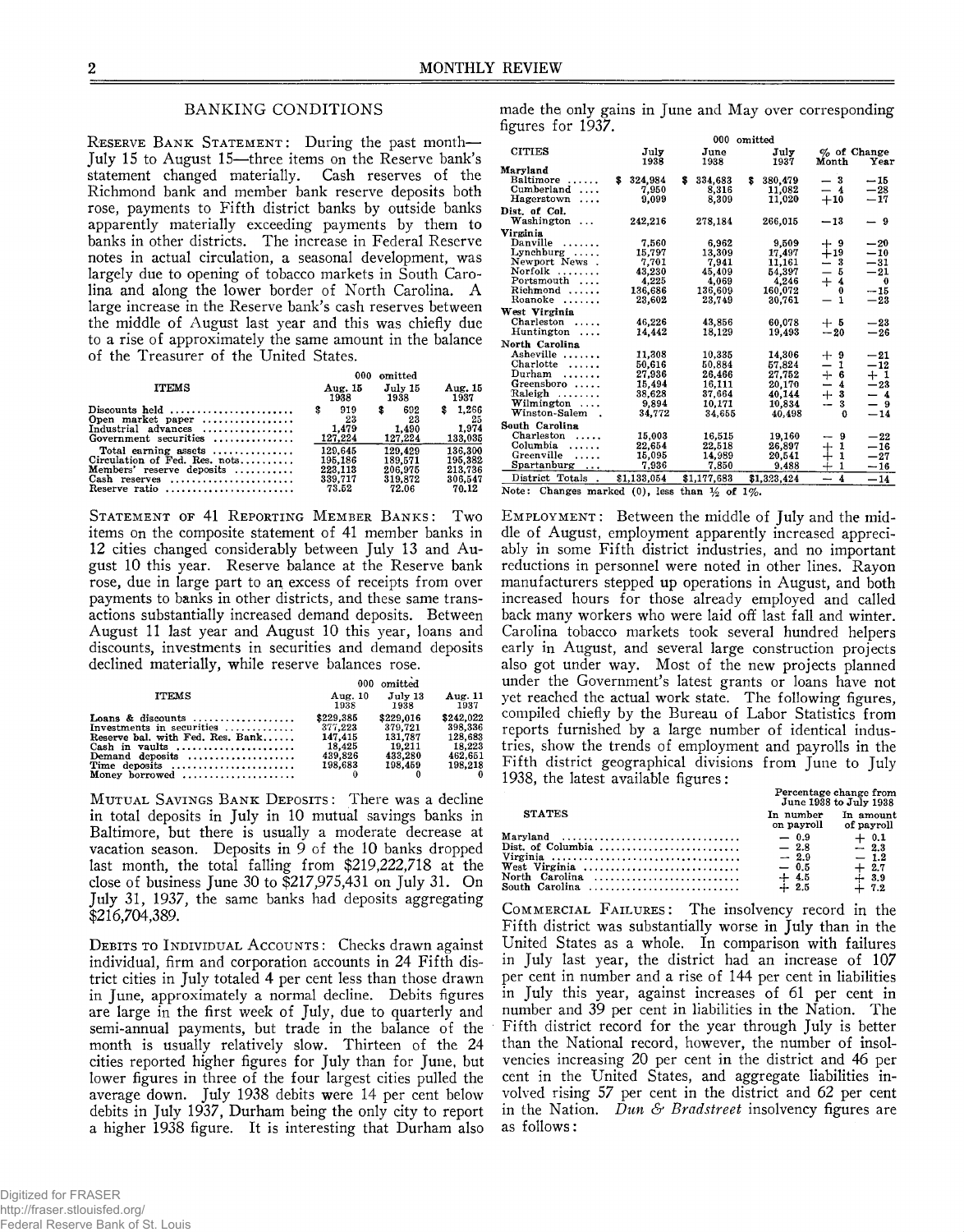#### BANKING CONDITIONS

RESERVE BANK STATEMENT: During the past month-July 15 to August 15—three items on the Reserve bank's statement changed materially. Cash reserves of the Richmond bank and member bank reserve deposits both rose, payments to Fifth district banks by outside banks apparently materially exceeding payments by them to banks in other districts. The increase in Federal Reserve notes in actual circulation, a seasonal development, was largely due to opening of tobacco markets in South Carolina and along the lower border of North Carolina. A large increase in the Reserve bank's cash reserves between the middle of August last year and this was chiefly due to a rise of approximately the same amount in the balance of the Treasurer of the United States.

| <b>ITEMS</b>                                                                                                                                                                                                                       | 000.<br>Aug. 15<br>1938                                                                  | omitted<br>July 15<br>1938                                                               | Aug. 15<br>1937                                                                       |
|------------------------------------------------------------------------------------------------------------------------------------------------------------------------------------------------------------------------------------|------------------------------------------------------------------------------------------|------------------------------------------------------------------------------------------|---------------------------------------------------------------------------------------|
| Discounts held<br>Open market paper<br>Industrial advances<br>Government securities<br>Total earning assets $\dots\dots\dots\dots$<br>Circulation of Fed. Res. nots<br>Members' reserve deposits<br>Cash reserves<br>Reserve ratio | 919<br>\$<br>23<br>1.479<br>127.224<br>129.645<br>195.186<br>223.113<br>339.717<br>73.52 | 692<br>\$<br>23<br>1.490<br>127.224<br>129.429<br>189.571<br>206,975<br>319,872<br>72.06 | 1.266<br>-25<br>1.974<br>133.035<br>136.300<br>195,382<br>213.736<br>306.547<br>70.12 |

Statement of 41 Reporting Member Banks: Two items on the composite statement of 41 member banks in 12 cities changed considerably between July 13 and August 10 this year. Reserve balance at the Reserve bank rose, due in large part to an, excess of receipts from over payments to banks in other districts, and these same transactions substantially increased demand deposits. Between August 11 last year and August 10 this year, loans and discounts, investments in securities and demand deposits declined materially, while reserve balances rose.

|                                                                                                                                                                           |                                                                 | 000 omitted                                                     |                                                                 |
|---------------------------------------------------------------------------------------------------------------------------------------------------------------------------|-----------------------------------------------------------------|-----------------------------------------------------------------|-----------------------------------------------------------------|
| <b>ITEMS</b>                                                                                                                                                              | Aug. 10<br>1938                                                 | July 13<br>1938                                                 | Aug. 11<br>1937                                                 |
| Loans & discounts<br>Investments in securities<br>Reserve bal. with Fed. Res. Bank<br>Demand deposits $\dots\dots\dots\dots\dots\dots$<br>Time deposits<br>Money borrowed | \$229.385<br>377.223<br>147.415<br>18.425<br>439,826<br>198.683 | \$229.016<br>379.721<br>131.787<br>19.211<br>433,280<br>198.459 | \$242.022<br>398.336<br>128.683<br>18.223<br>462.651<br>198.218 |

MUTUAL SAVINGS BANK DEPOSITS: There was a decline in total deposits in July in 10 mutual savings banks in Baltimore, but there is usually a moderate decrease at vacation season. Deposits in  $9$  of the 10 banks dropped last month, the total falling from \$219,222,718 at the close of business June 30 to \$217,975,431 on July 31. On July 31, 1937, the same banks had deposits aggregating \$216,704,389.

DEBITS TO INDIVIDUAL ACCOUNTS: Checks drawn against individual, firm and corporation accounts in 24 Fifth district cities in July totaled 4 per cent less than those drawn in June, approximately a normal decline. Debits figures are large in the first week of July, due to quarterly and semi-annual payments, but trade in the balance of the month is usually relatively slow. Thirteen of the 24 cities reported higher figures for July than for June, but lower figures in three of the four largest cities pulled the average down. July 1938 debits were 14 per cent below debits in July 1937, Durham being the only city to report a higher 1938 figure. It is interesting that Durham also

made the only gains in June and May over corresponding figures for 1937.

|                                            |   |                                                                                  |    | 000          | omitted |              |                          |                         |                        |
|--------------------------------------------|---|----------------------------------------------------------------------------------|----|--------------|---------|--------------|--------------------------|-------------------------|------------------------|
| <b>CITIES</b>                              |   | July<br>1938                                                                     |    | June<br>1938 |         | July<br>1937 |                          | Month                   | $\%$ of Change<br>Year |
| Maryland                                   |   |                                                                                  |    |              |         |              |                          |                         |                        |
| Baltimore                                  | s | 324,984                                                                          | s. | 334,683      | s       | 380,479      |                          | - 3                     | -- 15                  |
| Cumberland<br>$\cdots$                     |   | 7,950                                                                            |    | 8,316        |         | 11.082       |                          | $-4$                    | $-28$                  |
| Hagerstown<br>.                            |   | 9,099                                                                            |    | 8.309        |         | 11.020       |                          | $+10$                   | $-17$                  |
| Dist. of Col.                              |   |                                                                                  |    |              |         |              |                          |                         |                        |
| Washington                                 |   | 242,216                                                                          |    | 278,184      |         | 266,015      |                          | $-13$                   | - 9                    |
| Virginia                                   |   |                                                                                  |    |              |         |              |                          |                         |                        |
| Danville<br>.                              |   | 7.560                                                                            |    | 6,962        |         | 9,509        |                          |                         | $-20$                  |
| Lynchburg                                  |   | 15,797                                                                           |    | 13,309       |         | 17,497       |                          | 7.9                     | $-10$                  |
| Newport News.                              |   | 7.701                                                                            |    | 7.941        |         | 11,161       |                          | - 3                     | $-31$                  |
| Norfolk<br>.                               |   | 43,230                                                                           |    | 45,409       |         | 54,397       | $\overline{\phantom{0}}$ | - 5                     | $-21$                  |
| Portsmouth                                 |   | 4,225                                                                            |    | 4,069        |         | 4,246        |                          | $+4$                    | $\bf{0}$               |
| Richmond                                   |   | 136,686                                                                          |    | 136,609      |         | 160,072      |                          | 0                       | $-15$                  |
| Roanoke<br>.                               |   | 23,602                                                                           |    | 23,749       |         | 30.761       |                          | $\mathbf{1}$            | $-23$                  |
| West Virginia                              |   |                                                                                  |    |              |         |              |                          |                         |                        |
| $Charleston$                               |   | 46,226                                                                           |    | 43,856       |         | 60.078       |                          | $+5$                    | $-23$                  |
| Huntington<br>.                            |   | 14,442                                                                           |    | 18,129       |         | 19.493       |                          | $-20$                   | $-26$                  |
| North Carolina                             |   |                                                                                  |    |              |         |              |                          |                         |                        |
| Asheville                                  |   | 11,308                                                                           |    | 10.335       |         | 14,306       | ┿                        | -9                      | $-21$                  |
| Charlotte<br>1.1.1.1.1                     |   | 50,616                                                                           |    | 50.884       |         | 57.824       |                          | 1                       | $-12$                  |
| $_{\rm Durham}$<br>.                       |   | 27.936                                                                           |    | 26.466       |         | 27.752       | $+$                      | - 6                     | $+1$                   |
| Greensboro                                 |   | 15.494                                                                           |    | 16.111       |         | 20,170       | —                        | $\overline{\mathbf{4}}$ | $-23$                  |
| Raleigh<br>.                               |   | 38,628                                                                           |    | 37.664       |         | 40,144       | $\div$                   | -3                      | $-4$                   |
| Wilmington ,                               |   | 9.894                                                                            |    | 10,171       |         | 10,834       | --                       | 3                       | $-9$                   |
| Winston-Salem                              |   | 34.772                                                                           |    | 34,655       |         | 40.498       |                          | 0                       | $-14$                  |
| South Carolina                             |   |                                                                                  |    |              |         |              |                          |                         |                        |
| Charleston<br>.                            |   | 15,003                                                                           |    | 16,515       |         | 19,160       | -                        | 9                       | $-22$                  |
| Columbia<br>.                              |   | 22.654                                                                           |    | 22,518       |         | 26.897       | $+$                      | 1                       | $-16$                  |
| Greenville<br>$\cdots$                     |   | 15,095                                                                           |    | 14,989       |         | 20,541       | ┿                        | 1                       | $-27$                  |
| Spartanburg<br>$\cdots$                    |   | 7,936                                                                            |    | 7.850        |         | 9,488        | $\dotplus$               | 1                       | $-16$                  |
| District Totals<br>$\ddot{\phantom{a}}$    |   | \$1,133,054                                                                      |    | \$1,177,683  |         | \$1,323,424  | $\overline{\phantom{0}}$ | $\overline{\mathbf{A}}$ | $-14$                  |
| $\mathbf{r}$ . An interval of $\mathbf{r}$ |   | $\mathbf{A}$ and $\mathbf{A}$ and $\mathbf{A}$ and $\mathbf{A}$ and $\mathbf{A}$ |    | $\sim$       | .       |              |                          |                         |                        |

Note: Changes marked  $(0)$ , less than  $\frac{1}{2}$  of  $1\%$ .

EMPLOYMENT: Between the middle of July and the middle of August, employment apparently increased appreciably in some Fifth district industries, and no important reductions in personnel were noted in other lines. Rayon manufacturers stepped up operations in August, and both increased hours for those already employed and called back many workers who were laid off last fall and winter. Carolina tobacco markets took several hundred helpers early in August, and several large construction projects also got under way. Most of the new projects planned under the Government's latest grants or loans have not yet reached the actual work state. The following figures, compiled chiefly by the Bureau of Labor Statistics from reports furnished by a large number of identical industries, show the trends of employment and payrolls in the Fifth district geographical divisions from June to July 1938, the latest available figures:

|                                             | Percentage change from<br>June 1938 to July 1938         |                                                                         |  |  |  |
|---------------------------------------------|----------------------------------------------------------|-------------------------------------------------------------------------|--|--|--|
| <b>STATES</b>                               | In number<br>on payroll                                  | In amount<br>of payroll                                                 |  |  |  |
| Maryland<br>West Virginia<br>North Carolina | $-0.9$<br>$-2.8$<br>$-2.9$<br>$-0.5$<br>$+4.5$<br>$+2.5$ | $+ 0.1$<br>$-23$<br>$-1.2$<br>$+2.7$<br>$\frac{1}{4}$ $\frac{3.9}{7.2}$ |  |  |  |

Commercial Failures: The insolvency record in the Fifth district was substantially worse in July than in the United States as a whole. In comparison with failures in July last year, the district had an increase of 107 per cent in number and a rise of 144 per cent in liabilities in July this year, against increases of 61 per cent in number and 39 per cent in liabilities in the Nation. The Fifth district record for the year through July is better than the National record, however, the number of insolvencies increasing 20 per cent in the district and 46 per cent in the United States, and aggregate liabilities involved rising 57 per cent in the district and 62 per cent in the Nation. *Dun & Bradstreet* insolvency figures are as follows: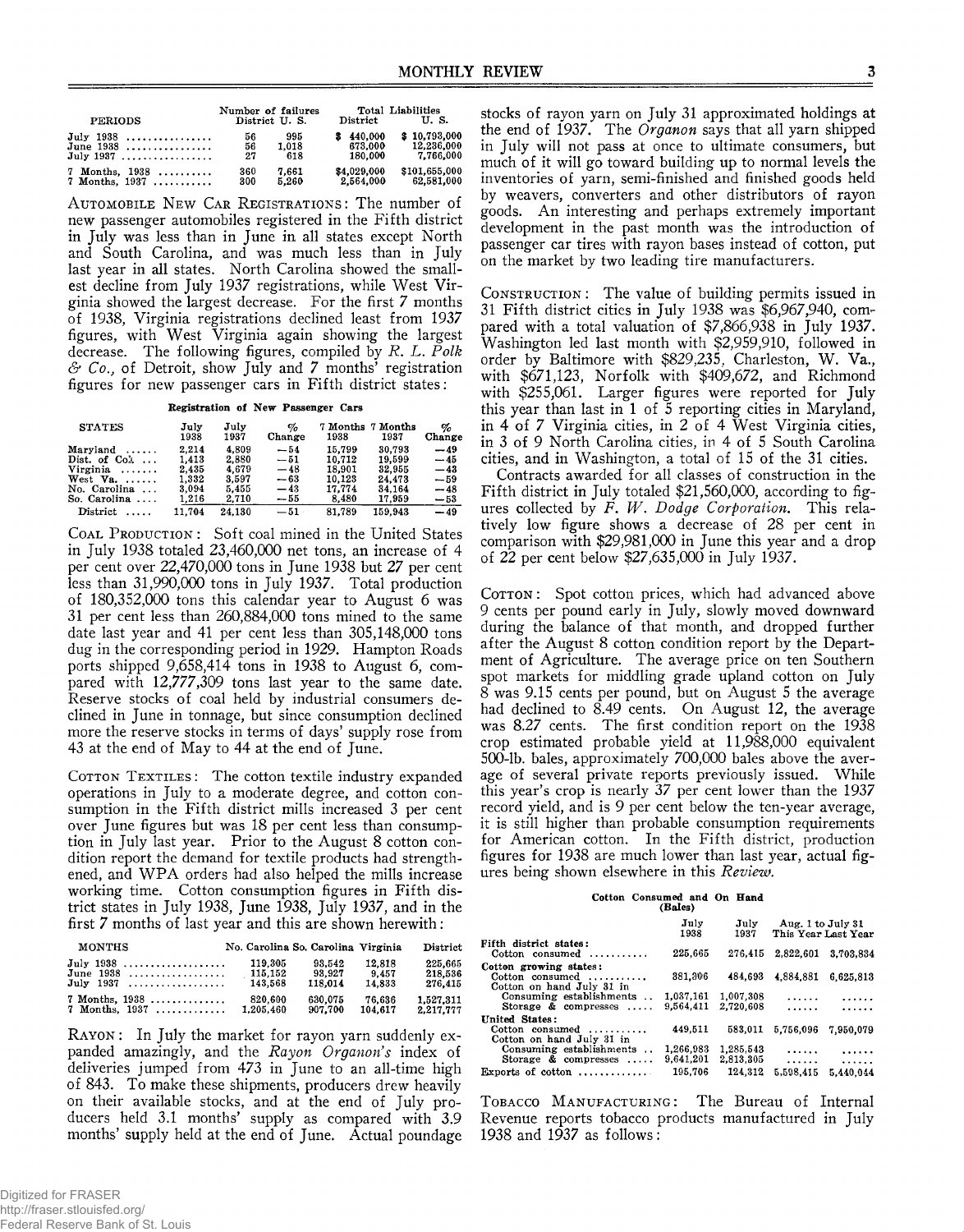| PERIODS            | Number of failures<br>District U.S. |       | District    | Total Liabilities<br>U.S. |
|--------------------|-------------------------------------|-------|-------------|---------------------------|
| July $1938$        | 56                                  | 995   | 440.000     | \$10,793,000              |
| June $1938$        | 56                                  | 1.018 | 673.000     | 12,236,000                |
| July 1937          | 27                                  | 618   | 180.000     | 7.766.000                 |
| 7 Months, 1938     | 360                                 | 7.661 | \$4.029.000 | \$101,655,000             |
| $7$ Months, $1937$ | 300                                 | 5.260 | 2,564,000   | 62.581.000                |

AUTOMOBILE NEW CAR REGISTRATIONS: The number of new passenger automobiles registered in the Fifth district in July was less than in June in all states except North and South Carolina, and was much less than in July last year in all states. North Carolina showed the smallest decline from July 1937 registrations, while West Virginia showed the largest decrease. For the first 7 months of 1938, Virginia registrations declined least from 1937 figures, with West Virginia again showing the largest decrease. The following figures, compiled by *R. L. Polk & Co.,* of Detroit, show July and 7 months' registration figures for new passenger cars in Fifth district states:

**Registration of New Passenger Cars**

| <b>STATES</b>          | July<br>1938 | July<br>1937 | $\%$<br>Change | 1938   | 7 Months 7 Months<br>1937 | %<br>Change |
|------------------------|--------------|--------------|----------------|--------|---------------------------|-------------|
| $Marvland \ldots$ .    | 2.214        | 4.809        | $-54$          | 15.799 | 30.793                    | $-49$       |
| Dist. of $Co1$         | 1.413        | 2.880        | $-51$          | 10.712 | 19.599                    | $-45$       |
| Virginia               | 2,435        | 4.679        | $-48$          | 18.901 | 32.955                    | $-43$       |
| West Va. $\ldots$ .    | 1.332        | 3.597        | $-63$          | 10.123 | 24.473                    | $-59$       |
| No. Carolina           | 3.094        | 5.455        | $-43$          | 17.774 | 34.164                    | $-48$       |
| So. Carolina $\ldots$  | 1,216        | 2.710        | $-55$          | 8.480  | 17,959                    | $-53$       |
| $Distributed \ldots$ . | 11.704       | 24.130       | $-51$          | 81.789 | 159,943                   | $-49$       |

COAL PRODUCTION: Soft coal mined in the United States in July 1938 totaled 23,460,000 net tons, an increase of 4 per cent over 22,470,000 tons in June 1938 but 27 per cent less than 31,990,000 tons in July 1937. Total production of 180,352,000 tons this calendar year to August 6 was 31 per cent less than 260,884,000 tons mined to the same date last year and 41 per cent less than 305,148,000 tons dug in the corresponding period in 1929. Hampton Roads ports shipped 9,658,414 tons in 1938 to August 6, compared with 12,777,309 tons last year to the same date. Reserve stocks of coal held by industrial consumers declined in June in tonnage, but since consumption declined more the reserve stocks in terms of days' supply rose from 43 at the end of May to 44 at the end of June.

**COTTON TEXTILES:** The cotton textile industry expanded operations in July to a moderate degree, and cotton consumption in the Fifth district mills increased 3 per cent over June figures but was 18 per cent less than consumption in July last year. Prior to the August 8 cotton condition report the demand for textile products had strengthened, and WPA orders had also helped the mills increase working time. Cotton consumption figures in Fifth district states in July 1938, June 1938, July 1937, and in the first 7 months of last year and this are shown herewith:

| <b>MONTHS</b>      | No. Carolina So. Carolina Virginia |         |         | District  |
|--------------------|------------------------------------|---------|---------|-----------|
| July 1938          | 119.305                            | 93.542  | 12,818  | 225,665   |
| June $1938$        | 115.152                            | 93.927  | 9.457   | 218,536   |
| July 1937          | 143.568                            | 118.014 | 14.833  | 276.415   |
| $7$ Months, $1938$ | 820.600                            | 630.075 | 76.636  | 1,527,311 |
| $7$ Months, $1937$ | 1.205.460                          | 907.700 | 104.617 | 2.217.777 |

**RAYON:** In July the market for rayon yarn suddenly expanded amazingly, and the *Rayon Organon's* index of deliveries jumped from 473 in June to an all-time high of 843. To make these shipments, producers drew heavily on their available stocks, and at the end of July producers held 3.1 months' supply as compared with 3.9 months' supply held at the end of June. Actual poundage

stocks of rayon yarn on July 31 approximated holdings at the end of 1937. The *Organon* says that all yarn shipped in July will not pass at once to ultimate consumers, but much of it will go toward building up to normal levels the inventories of yarn, semi-finished and finished goods held by weavers, converters and other distributors of rayon goods. An interesting and perhaps extremely important development in the past month was the introduction of passenger car tires with rayon bases instead of cotton, put on the market by two leading tire manufacturers.

CONSTRUCTION: The value of building permits issued in 31 Fifth district cities in July 1938 was \$6,967,940, compared with a total valuation of \$7,866,938 in July 1937. Washington led last month with \$2,959,910, followed in order by Baltimore with \$829,235, Charleston, W. Va., with \$671,123, Norfolk with \$409,672, and Richmond with \$255,061. Larger figures were reported for July this year than last in 1 of 5 reporting cities in Maryland, in 4 of 7 Virginia cities, in 2 of 4 West Virginia cities, in 3 of 9 North Carolina cities, in 4 of 5 South Carolina cities, and in Washington, a total of 15 of the 31 cities.

Contracts awarded for all classes of construction in the Fifth district in July totaled \$21,560,000, according to figures collected by *F. W. Dodge Corporation.* This relatively low figure shows a decrease of 28 per cent in comparison with \$29,981,000 in June this year and a drop of 22 per cent below \$27,635,000 in July 1937.

COTTON: Spot cotton prices, which had advanced above 9 cents per pound early in July, slowly moved downward during the balance of that month, and dropped further after the August 8 cotton condition report by the Department of Agriculture. The average price on ten Southern spot markets for middling grade upland cotton on July 8 was 9.15 cents per pound, but on August 5 the average had declined to 8.49 cents. On August 12, the average was 8.27 cents. The first condition report on the 1938 crop estimated probable yield at 11,988,000 equivalent 500-lb. bales, approximately 700,000 bales above the average of several private reports previously issued. While this year's crop is nearly 37 per cent lower than the 1937 record yield, and is 9 per cent below the ten-year average, it is still higher than probable consumption requirements for American cotton. In the Fifth district, production figures for 1938 are much lower than last year, actual figures being shown elsewhere in this *Review.*

## **Cotton Consumed and On Hand (Bales)**

|                                                                        | , , , , , , , ,        |                        |                   |                     |
|------------------------------------------------------------------------|------------------------|------------------------|-------------------|---------------------|
|                                                                        | July<br>1938           | July<br>1937           | Aug. 1 to July 31 | This Year Last Year |
| Fifth district states:<br>$Cotton$ consumed                            | 225,665                | 276.415                | 2.822.601         | 3.703.834           |
| Cotton growing states:<br>Cotton consumed<br>Cotton on hand July 31 in | 381,306                | 484.693                | 4,884,881         | 6,625,813           |
| Consuming establishments<br>Storage $\&$ compresses $\ldots$           | 1,037,161<br>9.564.411 | 1,007,308<br>2.720.608 | .<br>.            | .<br>.              |
| United States:<br>$Cotton$ consumed<br>Cotton on hand July 31 in       | 449.511                | 583.011                | 5,756,096         | 7.950.079           |
| Consuming establishments.<br>Storage $\&$ compresses $\ldots$          | 1,266,983<br>9,641,201 | 1,285,543<br>2,813.305 | .<br>$\cdots$     | .                   |
| Exports of cotton $\dots\dots\dots\dots$                               | 195.706                | 124.312                | 5,598,415         | 5.440.044           |

TOBACCO MANUFACTURING: The Bureau of Internal Revenue reports tobacco products manufactured in July 1938 and 1937 as follows: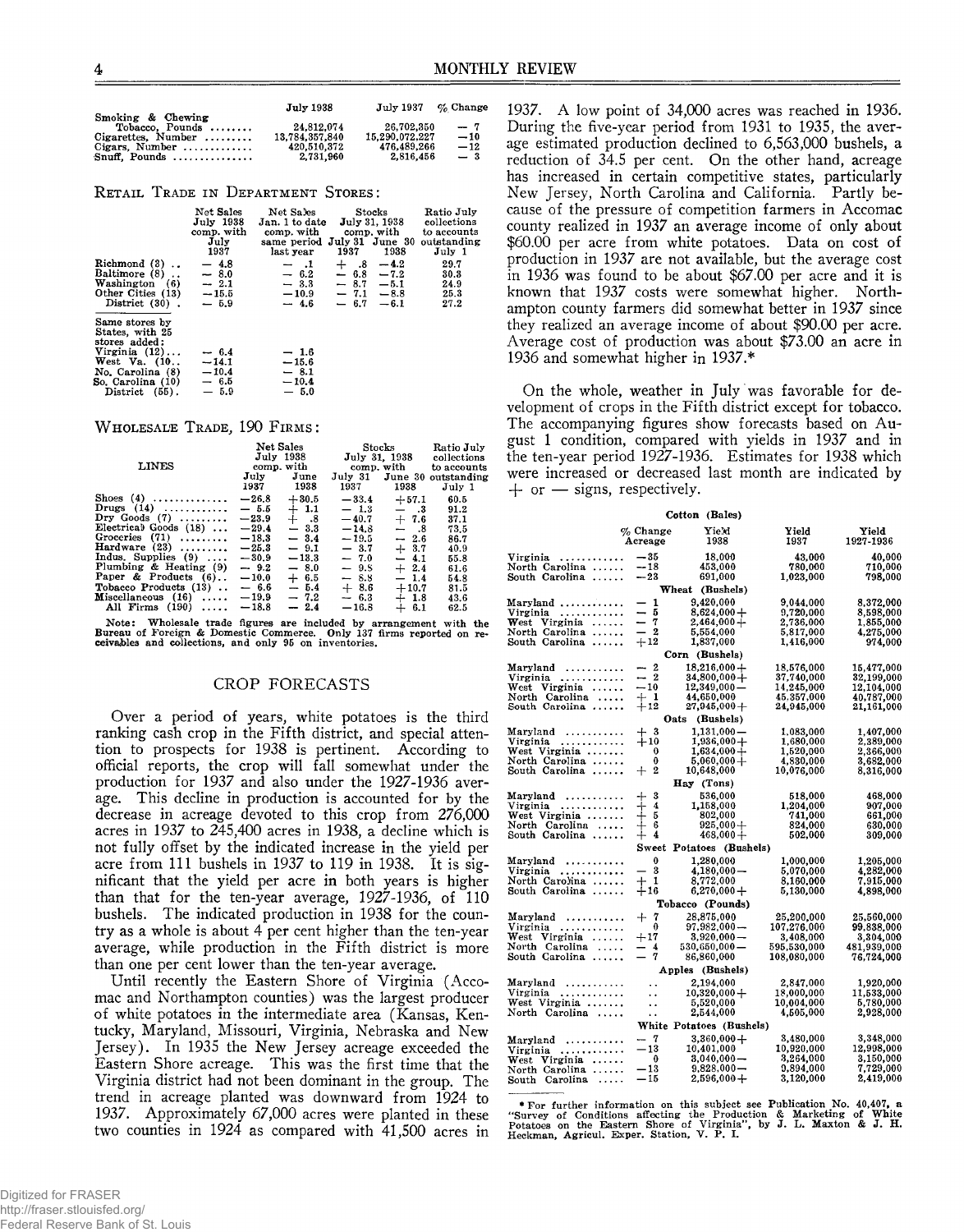|                                               | <b>July 1938</b> | July 1937      | $\%$ Change |
|-----------------------------------------------|------------------|----------------|-------------|
| Smoking & Chewing<br>Tobacco, Pounds $\ldots$ | 24.812.074       | 26.702.350     | $-7$        |
| $Cigareites$ . Number $\ldots \ldots$         | 13,784,357,840   | 15.290.072.227 | $-10$       |
| Cigars, Number $\dots\dots\dots\dots$         | 420.510.372      | 476.489.266    | $-12$       |
| Snuff. Pounds                                 | 2.731.960        | 2,816,456      | $-3$        |

**RETAIL TRADE IN DEPARTMENT STORES:** 

| Richmond $(3)$ .<br>Baltimore (8)<br>Washington (6)<br>Other Cities (13)<br>District (30).                                                                 | Net Sales<br>July 1938<br>comp. with<br>July<br>1937<br>$-4.8$<br>$-8.0$<br>$-2.1$<br>$-15.5$<br>$-5.9$ | Net Sales<br>Jan. 1 to date<br>comp. with comp. with<br>same period July 31 June 30<br>last year<br>$-1$<br>$-6.2$<br>$-3.3$<br>$-10.9$<br>$-4.6$ | 1937<br>$+$ .8<br>$-6.8$ | Stocks<br><b>July 31, 1938</b><br>1938<br>$-4.2$<br>$-7.2$<br>$-8.7 - 5.1$<br>$-7.1 - 8.8$<br>$-6.7 -6.1$ | Ratio July<br>collections<br>to accounts<br>outstanding<br>July 1<br>29.7<br>30.3<br>24.9<br>25.3<br>27.2 |
|------------------------------------------------------------------------------------------------------------------------------------------------------------|---------------------------------------------------------------------------------------------------------|---------------------------------------------------------------------------------------------------------------------------------------------------|--------------------------|-----------------------------------------------------------------------------------------------------------|-----------------------------------------------------------------------------------------------------------|
| Same stores by<br>States, with 25<br>stores added:<br>Virginia $(12) \ldots$<br>West Va. (10<br>No. Carolina (8)<br>So. Carolina (10)<br>District $(55)$ . | $-6.4$<br>$-14.1$<br>$-10.4$<br>$-6.5$<br>$-5.9$                                                        | $-1.6$<br>$-15.6$<br>$-8.1$<br>$-10.4$<br>$-5.0$                                                                                                  |                          |                                                                                                           |                                                                                                           |

#### WHOLESALE TRADE, 190 FIRMS:

| <b>LINES</b>            | July<br>1937 | Net Sales<br>July 1938<br>comp. with<br>June<br>1938 | 1937    | $\operatorname{\mathbf{Stocks}}$<br>July 31, 1938<br>comp. with<br>1938 | Ratio July<br>collections<br>to accounts<br>July 31 June 30 outstanding<br>July 1 |
|-------------------------|--------------|------------------------------------------------------|---------|-------------------------------------------------------------------------|-----------------------------------------------------------------------------------|
| Shoes $(4)$             | $-26.8$      | $+30.5$                                              | $-33.4$ | $+57.1$                                                                 | 60.5                                                                              |
| Drugs $(14)$            | $-5.5$       | $+1.1$                                               | $-1.3$  | $-$ .3                                                                  | 91.2                                                                              |
| Dry Goods $(7)$         | $-23.9$      | $+$ .8                                               | $-40.7$ | $+7.6$                                                                  | 37.1                                                                              |
| Electrical Goods $(18)$ | $-29.4$      | $-3.3$                                               | $-14.8$ | - 8                                                                     | 73.5                                                                              |
| Groceries $(71)$        | $-18.3$      | $-3.4$                                               | $-19.5$ | $-2.6$                                                                  | 86.7                                                                              |
| Hardware $(23)$         | $-25.3$      | $-9.1$                                               | $-3.7$  | $+3.7$                                                                  | 40.9                                                                              |
| Indus, Supplies $(9)$ , | $-30.9$      | $-13.3$                                              | $-7.0$  | $-4.1$                                                                  | 55.8                                                                              |
| Plumbing & Heating (9)  | $-9.2$       | $-8.0$                                               | $-9.5$  | $+2.4$                                                                  | 61.6                                                                              |
| Paper & Products $(6)$  | $-10.0$      | $+ 6.5$                                              | $-8.8$  | $-1.4$                                                                  | 54.8                                                                              |
| Tobacco Products (13)   | $-6.6$       | $-5.4$                                               | $+8.6$  | $+10.7$                                                                 | 81.5                                                                              |
| Miscellaneous $(16)$    | $-19.9$      | $-7.2$                                               | $-6.3$  | $+1.8$                                                                  | 43.6                                                                              |
| All Firms $(190)$<br>.  | $-18.8$      | $-2.4$                                               | $-16.8$ | $+ 6.1$                                                                 | 62.5                                                                              |

Note: Wholesale trade figures are included by arrangement with the<br>Bureau of Foreign & Domestic Commerce. Only 137 firms reported on re-<br>ceivables and collections, and only 95 on inventories.

#### CROP FORECASTS

Over a period of years, white potatoes is the third ranking cash crop in the Fifth district, and special attention to prospects for 1938 is pertinent. According to official reports, the crop will fall somewhat under the production for 1937 and also under the 1927-1936 average. This decline in production is accounted for by the decrease in acreage devoted to this crop from 276,000 acres in 1937 to 245,400 acres in 1938, a decline which is not fully offset by the indicated increase in the yield per acre from 111 bushels in 1937 to 119 in 1938. It is significant that the yield per acre in both years is higher than that for the ten-year average,  $1927-1936$ , of  $110$ bushels. The indicated production in 1938 for the country as a whole is about 4 per cent higher than the ten-year average, while production in the Fifth district is more than one per cent lower than the ten-year average.

Until recently the Eastern Shore of Virginia (Accomac and Northampton counties) was the largest producer of white potatoes in the intermediate area (Kansas, Kentucky, Maryland, Missouri, Virginia, Nebraska and New Jersey). In 1935 the New Jersey acreage exceeded the Eastern Shore acreage. This was the first time that the Virginia district had not been dominant in the group. The trend in acreage planted was downward from 1924 to 1937. Approximately 67,000 acres were planted in these two counties in 1924 as compared with 41,500 acres in

1937. A low point of 34,000 acres was reached in 1936. During the five-year period from 1931 to 1935, the average estimated production declined to 6,563,000 bushels, a reduction of 34.5 per cent. On the other hand, acreage has increased in certain competitive states, particularly New Jersey, North Carolina and California. Partly because of the pressure of competition farmers in Accomac county realized in 1937 an average income of only about \$60.00 per acre from white potatoes. Data on cost of production in 1937 are not available, but the average cost in 1936 was found to be about \$67.00 per acre and it is known that 1937 costs were somewhat higher. Northampton county farmers did somewhat better in 1937 since they realized an average income of about \$90.00 per acre. Average cost of production was about \$73.00 an acre in 1936 and somewhat higher in 1937.\*

On the whole, weather in July was favorable for development of crops in the Fifth district except for tobacco. The accompanying figures show forecasts based on August 1 condition, compared with yields in 1937 and in the ten-year period 1927-1936. Estimates for 1938 which were increased or decreased last month are indicated by  $+$  or  $-$  signs, respectively.

|                                 |                          | Cotton (Bales)           |                         |                        |
|---------------------------------|--------------------------|--------------------------|-------------------------|------------------------|
|                                 | $\%$ Change<br>Acreage   | Yie'd<br>1938            | Yield<br>1937           | Yield<br>1927-1936     |
| Virginia                        | $-35$                    | 18,000                   | 43,000                  | 40,000                 |
| North Carolina                  | $-18$                    | 453,000                  | 780,000                 | 710.000                |
| South Carolina                  | $-23$                    | 691,000                  | 1,023,000               | 798,000                |
|                                 |                          | Wheat (Bushels)          |                         |                        |
| $Maryland$                      | - 1                      | 9.420.000                | 9,044,000               | 8,372,000              |
| Virginia                        | - 5                      | $8,624.000 +$            | 9,720,000               | 8,598,000              |
| West Virginia $\ldots$          | - 7                      | $2,464,000+$             | 2,736,000               | 1,855,000              |
| North Carolina                  | $-2$                     | 5,554,000                | 5,817,000               | 4,275,000              |
| South Carolina                  | $+12$                    | 1,837,000                | 1,416,000               | 974,000                |
|                                 |                          | Corn (Bushels)           |                         |                        |
| $Maryland$                      | $-2$                     | $18,216,000+$            | 18,576,000              | 15,477,000             |
| Virginia $\ldots \ldots \ldots$ | $-2$                     | $34,800,000+$            | 37,740,000              | 32,199,000             |
| West Virginia                   | $-10$                    | $12,349,000-$            | 14,245,000              | 12,104,000             |
| North Carolina                  | $+1$                     | 44,650,000               | 45,357,000              | 40,787,000             |
| South Carolina                  | $+12$                    | $27,945,000+$            | 24,945,000              | 21,161,000             |
|                                 |                          | Oats (Bushels)           |                         |                        |
| Maryland                        | $+3$                     | $1,131,000-$             | 1,083,000               | 1,407,000              |
| Virginia                        | $+10$                    | $1.936.000 +$            | 1.680.000               | 2,389,000              |
| West Virginia                   | $\mathbf{0}$             | $1,634,000 +$            | 1,520,000               | 2,366,000              |
| North Carolina                  | 0                        | $5,060,000+$             | 4,830,000               | 3,682,000              |
| South Carolina                  | $+2$                     | 10,648,000               | 10,076,000              | 8,316,000              |
|                                 |                          | Hay (Tons)               |                         |                        |
|                                 | $+$ 3                    | 536,000                  | 518,000                 | 468,000                |
| $Virginia$                      | $+4$                     | 1,158,000                | 1,204,000               | 907,000                |
| West Virginia                   |                          | 802,000                  | 741,000                 | 661,000                |
| North Carolina                  | $+5$<br>$+6$             | $925,000+$               | 824,000                 | 630,000                |
| South Carolina                  | $+4$                     | $468,000+$               | 502,000                 | 309,000                |
|                                 |                          | Sweet Potatoes (Bushels) |                         |                        |
| $Maryland$                      | $\bf{0}$                 | 1,280,000                | 1,000,000               | 1,205,000              |
| Virginia<br>.                   | $-3$                     | $4,180,000 -$            | 5,070,000               | 4,282,000              |
| North Carolina                  | $+1$                     | 8,772,000                | 8,160,000               | 7,915,000              |
| South Carolina                  | $+16$                    | $6,270,000+$             | 5,130,000               | 4,898,000              |
|                                 |                          | Tobacco (Pounds)         |                         |                        |
| Maryland                        | $+$ 7                    | 28.875.000               | 25,200,000              | 25,560,000             |
| Virginia $\ldots \ldots \ldots$ | $\overline{\phantom{0}}$ | $97,982,000 -$           | 107.276.000             | 99,838,000             |
| West Virginia                   | $+17$                    | $3.920.000 -$            | 3,408,000               | 3.304,000              |
| North Carolina                  | $-4$                     | $530,650,000 -$          | 595,530,000             | 481,939,000            |
| South Carolina                  | $-7$                     | 86,860,000               | 108,080,000             | 76,724,000             |
|                                 |                          | Apples (Bushels)         |                         |                        |
| Maryland                        |                          | 2,194,000                | 2,847,000               |                        |
| Virginia                        | $\ddot{\phantom{a}}$     |                          |                         | 1,920,000              |
| .                               | . .                      | $10,320,000 +$           | 18,000,000              | 11,533,000             |
| West Virginia<br>North Carolina | . .                      | 5,520,000<br>2,544,000   | 10,004,000<br>4,505,000 | 5,780,000<br>2,928,000 |
|                                 | $\ddot{\phantom{a}}$     | White Potatoes (Bushels) |                         |                        |
|                                 | $-7$                     | $3,360,000+$             | 3,480,000               | 3,348,000              |
| $Marvland$                      | $-13$                    |                          | 10,920,000              | 12,998,000             |
| $Virginia$                      |                          | 10,401,000               |                         |                        |
| West Virginia $\ldots$          | $\overline{\phantom{0}}$ | $3,040,000 -$            | 3,264,000               | 3,150,000              |
| North Carolina                  | $-13$                    | $9,828,000 -$            | 9,894,000               | $7{,}729{,}000$        |
| South Carolina                  | $-15$                    | $2,596,000+$             | 3,120,000               | 2,419,000              |

\* For further information on this subject see Publication No. 40.407, a<br>"Survey of Conditions affecting the Production & Marketing of White<br>Potatoes on the Eastern Shore of Virginia", by J. L. Maxton & J. H.<br>Heckman, Agric